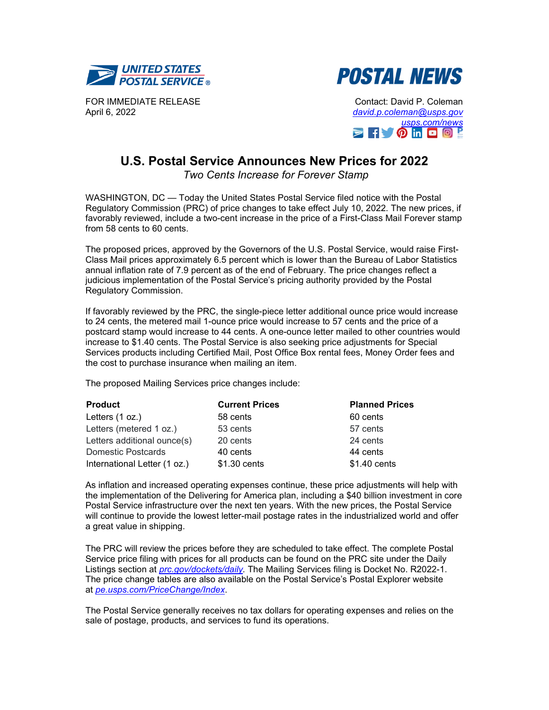



FOR IMMEDIATE RELEASE April 6, 2022

Contact: David P. Coleman *[david.p.coleman@usps.gov](mailto:david.p.coleman@usps.gov) [usps.com/news](https://about.usps.com/newsroom/)*  $\geq$   $\uparrow$   $\uparrow$   $\circ$  in  $\Box$   $\Box$   $\Box$ 

## **U.S. Postal Service Announces New Prices for 2022**

*Two Cents Increase for Forever Stamp*

WASHINGTON, DC — Today the United States Postal Service filed notice with the Postal Regulatory Commission (PRC) of price changes to take effect July 10, 2022. The new prices, if favorably reviewed, include a two-cent increase in the price of a First-Class Mail Forever stamp from 58 cents to 60 cents.

The proposed prices, approved by the Governors of the U.S. Postal Service, would raise First-Class Mail prices approximately 6.5 percent which is lower than the Bureau of Labor Statistics annual inflation rate of 7.9 percent as of the end of February. The price changes reflect a judicious implementation of the Postal Service's pricing authority provided by the Postal Regulatory Commission.

If favorably reviewed by the PRC, the single-piece letter additional ounce price would increase to 24 cents, the metered mail 1-ounce price would increase to 57 cents and the price of a postcard stamp would increase to 44 cents. A one-ounce letter mailed to other countries would increase to \$1.40 cents. The Postal Service is also seeking price adjustments for Special Services products including Certified Mail, Post Office Box rental fees, Money Order fees and the cost to purchase insurance when mailing an item.

The proposed Mailing Services price changes include:

| <b>Product</b>               | <b>Current Prices</b> | <b>Planned Prices</b> |
|------------------------------|-----------------------|-----------------------|
| Letters (1 oz.)              | 58 cents              | 60 cents              |
| Letters (metered 1 oz.)      | 53 cents              | 57 cents              |
| Letters additional ounce(s)  | 20 cents              | 24 cents              |
| <b>Domestic Postcards</b>    | 40 cents              | 44 cents              |
| International Letter (1 oz.) | \$1.30 cents          | \$1.40 cents          |

As inflation and increased operating expenses continue, these price adjustments will help with the implementation of the Delivering for America plan, including a \$40 billion investment in core Postal Service infrastructure over the next ten years. With the new prices, the Postal Service will continue to provide the lowest letter-mail postage rates in the industrialized world and offer a great value in shipping.

The PRC will review the prices before they are scheduled to take effect. The complete Postal Service price filing with prices for all products can be found on the PRC site under the Daily Listings section at *[prc.gov/dockets/daily.](https://www.prc.gov/dockets/daily)* The Mailing Services filing is Docket No. R2022-1. The price change tables are also available on the Postal Service's Postal Explorer website at *[pe.usps.com/PriceChange/Index](https://pe.usps.com/PriceChange/Index)*.

The Postal Service generally receives no tax dollars for operating expenses and relies on the sale of postage, products, and services to fund its operations.